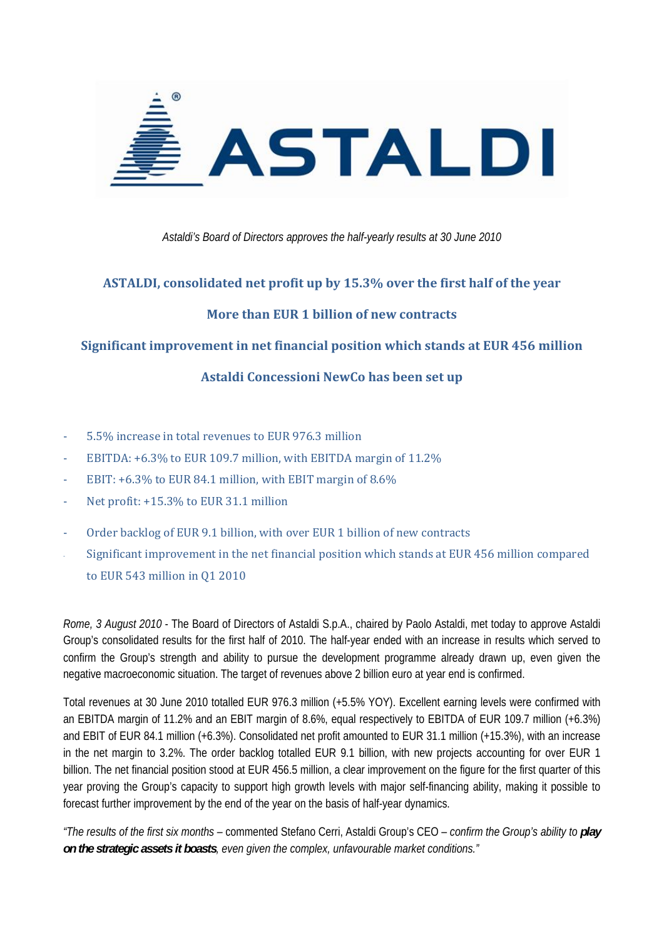

*Astaldi's Board of Directors approves the half-yearly results at 30 June 2010* 

### **ASTALDI, consolidated net profit up by 15.3% over the first half of the year**

### **More than EUR 1 billion of new contracts**

### **Significant improvement in net financial position which stands at EUR 456 million**

### **Astaldi Concessioni NewCo has been set up**

- ‐ 5.5% increase in total revenues to EUR 976.3 million
- ‐ EBITDA: +6.3% to EUR 109.7 million, with EBITDA margin of 11.2%
- EBIT:  $+6.3\%$  to EUR 84.1 million, with EBIT margin of 8.6%
- Net profit: +15.3% to EUR 31.1 million
- ‐ Order backlog of EUR 9.1 billion, with over EUR 1 billion of new contracts
- ‐ Significant improvement in the net financial position which stands at EUR 456 million compared to EUR 543 million in Q1 2010

*Rome, 3 August 2010* - The Board of Directors of Astaldi S.p.A., chaired by Paolo Astaldi, met today to approve Astaldi Group's consolidated results for the first half of 2010. The half-year ended with an increase in results which served to confirm the Group's strength and ability to pursue the development programme already drawn up, even given the negative macroeconomic situation. The target of revenues above 2 billion euro at year end is confirmed.

Total revenues at 30 June 2010 totalled EUR 976.3 million (+5.5% YOY). Excellent earning levels were confirmed with an EBITDA margin of 11.2% and an EBIT margin of 8.6%, equal respectively to EBITDA of EUR 109.7 million (+6.3%) and EBIT of EUR 84.1 million (+6.3%). Consolidated net profit amounted to EUR 31.1 million (+15.3%), with an increase in the net margin to 3.2%. The order backlog totalled EUR 9.1 billion, with new projects accounting for over EUR 1 billion. The net financial position stood at EUR 456.5 million, a clear improvement on the figure for the first quarter of this year proving the Group's capacity to support high growth levels with major self-financing ability, making it possible to forecast further improvement by the end of the year on the basis of half-year dynamics.

*"The results of the first six months –* commented Stefano Cerri, Astaldi Group's CEO – *confirm the Group's ability to play on the strategic assets it boasts, even given the complex, unfavourable market conditions."*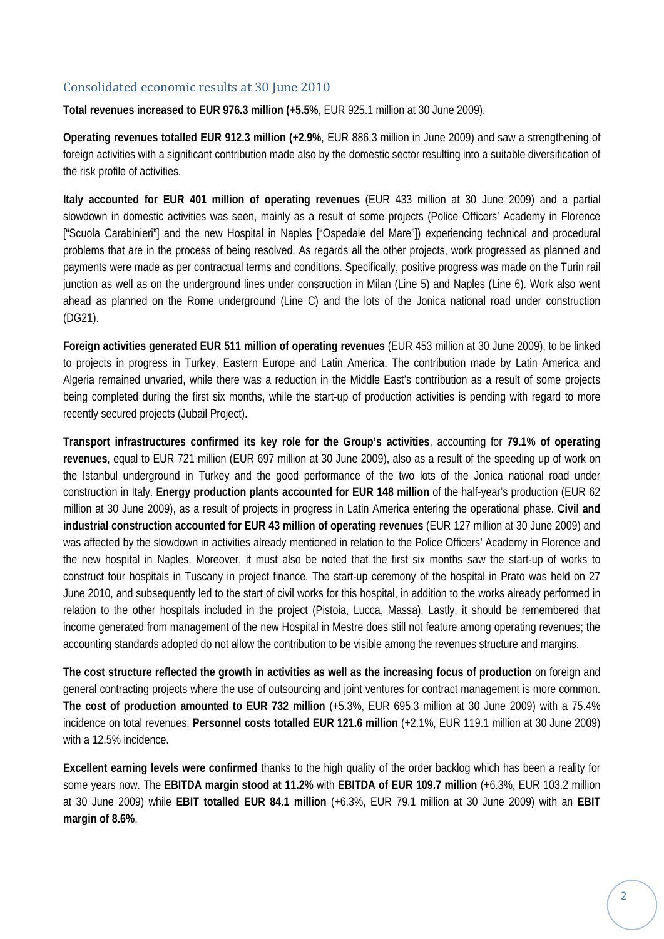### Consolidated economic results at 30 June 2010

**Total revenues increased to EUR 976.3 million (+5.5%**, EUR 925.1 million at 30 June 2009).

**Operating revenues totalled EUR 912.3 million (+2.9%**, EUR 886.3 million in June 2009) and saw a strengthening of foreign activities with a significant contribution made also by the domestic sector resulting into a suitable diversification of the risk profile of activities.

**Italy accounted for EUR 401 million of operating revenues** (EUR 433 million at 30 June 2009) and a partial slowdown in domestic activities was seen, mainly as a result of some projects (Police Officers' Academy in Florence ["Scuola Carabinieri"] and the new Hospital in Naples ["Ospedale del Mare"]) experiencing technical and procedural problems that are in the process of being resolved. As regards all the other projects, work progressed as planned and payments were made as per contractual terms and conditions. Specifically, positive progress was made on the Turin rail junction as well as on the underground lines under construction in Milan (Line 5) and Naples (Line 6). Work also went ahead as planned on the Rome underground (Line C) and the lots of the Jonica national road under construction (DG21).

**Foreign activities generated EUR 511 million of operating revenues** (EUR 453 million at 30 June 2009), to be linked to projects in progress in Turkey, Eastern Europe and Latin America. The contribution made by Latin America and Algeria remained unvaried, while there was a reduction in the Middle East's contribution as a result of some projects being completed during the first six months, while the start-up of production activities is pending with regard to more recently secured projects (Jubail Project).

**Transport infrastructures confirmed its key role for the Group's activities**, accounting for **79.1% of operating revenues**, equal to EUR 721 million (EUR 697 million at 30 June 2009), also as a result of the speeding up of work on the Istanbul underground in Turkey and the good performance of the two lots of the Jonica national road under construction in Italy. **Energy production plants accounted for EUR 148 million** of the half-year's production (EUR 62 million at 30 June 2009), as a result of projects in progress in Latin America entering the operational phase. **Civil and industrial construction accounted for EUR 43 million of operating revenues** (EUR 127 million at 30 June 2009) and was affected by the slowdown in activities already mentioned in relation to the Police Officers' Academy in Florence and the new hospital in Naples. Moreover, it must also be noted that the first six months saw the start-up of works to construct four hospitals in Tuscany in project finance. The start-up ceremony of the hospital in Prato was held on 27 June 2010, and subsequently led to the start of civil works for this hospital, in addition to the works already performed in relation to the other hospitals included in the project (Pistoia, Lucca, Massa). Lastly, it should be remembered that income generated from management of the new Hospital in Mestre does still not feature among operating revenues; the accounting standards adopted do not allow the contribution to be visible among the revenues structure and margins.

**The cost structure reflected the growth in activities as well as the increasing focus of production** on foreign and general contracting projects where the use of outsourcing and joint ventures for contract management is more common. **The cost of production amounted to EUR 732 million** (+5.3%, EUR 695.3 million at 30 June 2009) with a 75.4% incidence on total revenues. **Personnel costs totalled EUR 121.6 million** (+2.1%, EUR 119.1 million at 30 June 2009) with a 12.5% incidence.

**Excellent earning levels were confirmed** thanks to the high quality of the order backlog which has been a reality for some years now. The **EBITDA margin stood at 11.2%** with **EBITDA of EUR 109.7 million** (+6.3%, EUR 103.2 million at 30 June 2009) while **EBIT totalled EUR 84.1 million** (+6.3%, EUR 79.1 million at 30 June 2009) with an **EBIT margin of 8.6%**.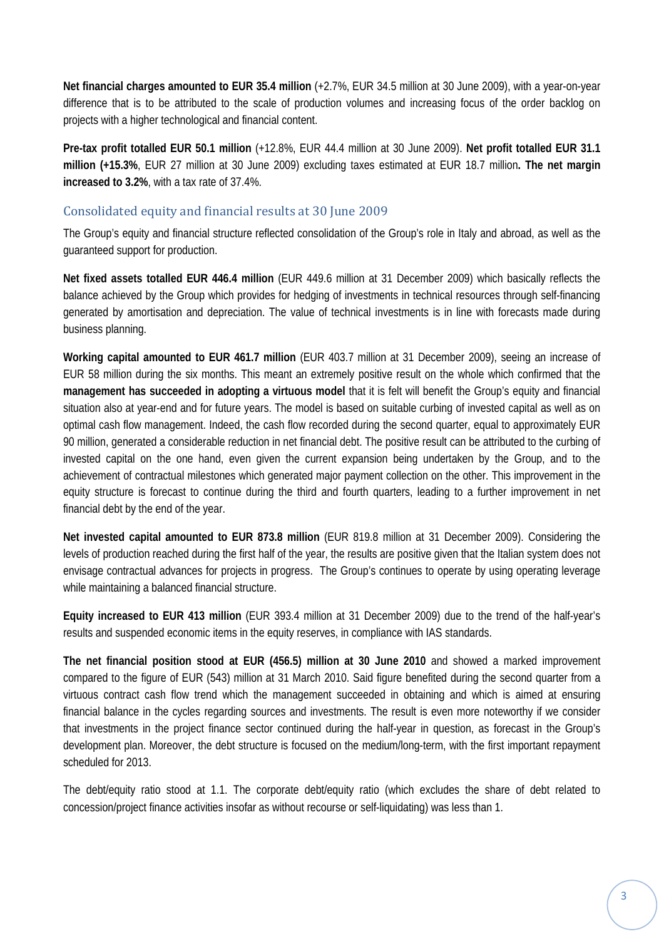**Net financial charges amounted to EUR 35.4 million** (+2.7%, EUR 34.5 million at 30 June 2009), with a year-on-year difference that is to be attributed to the scale of production volumes and increasing focus of the order backlog on projects with a higher technological and financial content.

**Pre-tax profit totalled EUR 50.1 million** (+12.8%, EUR 44.4 million at 30 June 2009). **Net profit totalled EUR 31.1 million (+15.3%**, EUR 27 million at 30 June 2009) excluding taxes estimated at EUR 18.7 million**. The net margin increased to 3.2%**, with a tax rate of 37.4%.

### Consolidated equity and financial results at 30 June 2009

The Group's equity and financial structure reflected consolidation of the Group's role in Italy and abroad, as well as the guaranteed support for production.

**Net fixed assets totalled EUR 446.4 million** (EUR 449.6 million at 31 December 2009) which basically reflects the balance achieved by the Group which provides for hedging of investments in technical resources through self-financing generated by amortisation and depreciation. The value of technical investments is in line with forecasts made during business planning.

**Working capital amounted to EUR 461.7 million** (EUR 403.7 million at 31 December 2009), seeing an increase of EUR 58 million during the six months. This meant an extremely positive result on the whole which confirmed that the **management has succeeded in adopting a virtuous model** that it is felt will benefit the Group's equity and financial situation also at year-end and for future years. The model is based on suitable curbing of invested capital as well as on optimal cash flow management. Indeed, the cash flow recorded during the second quarter, equal to approximately EUR 90 million, generated a considerable reduction in net financial debt. The positive result can be attributed to the curbing of invested capital on the one hand, even given the current expansion being undertaken by the Group, and to the achievement of contractual milestones which generated major payment collection on the other. This improvement in the equity structure is forecast to continue during the third and fourth quarters, leading to a further improvement in net financial debt by the end of the year.

**Net invested capital amounted to EUR 873.8 million** (EUR 819.8 million at 31 December 2009). Considering the levels of production reached during the first half of the year, the results are positive given that the Italian system does not envisage contractual advances for projects in progress. The Group's continues to operate by using operating leverage while maintaining a balanced financial structure.

**Equity increased to EUR 413 million** (EUR 393.4 million at 31 December 2009) due to the trend of the half-year's results and suspended economic items in the equity reserves, in compliance with IAS standards.

**The net financial position stood at EUR (456.5) million at 30 June 2010** and showed a marked improvement compared to the figure of EUR (543) million at 31 March 2010. Said figure benefited during the second quarter from a virtuous contract cash flow trend which the management succeeded in obtaining and which is aimed at ensuring financial balance in the cycles regarding sources and investments. The result is even more noteworthy if we consider that investments in the project finance sector continued during the half-year in question, as forecast in the Group's development plan. Moreover, the debt structure is focused on the medium/long-term, with the first important repayment scheduled for 2013.

The debt/equity ratio stood at 1.1. The corporate debt/equity ratio (which excludes the share of debt related to concession/project finance activities insofar as without recourse or self-liquidating) was less than 1.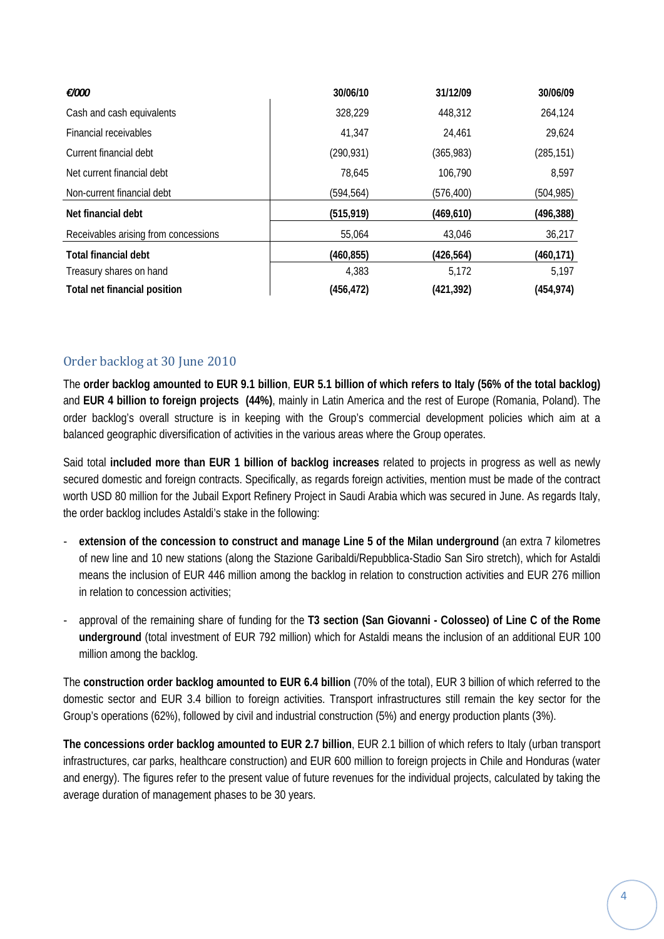| €/000                                | 30/06/10   | 31/12/09   | 30/06/09   |
|--------------------------------------|------------|------------|------------|
| Cash and cash equivalents            | 328,229    | 448,312    | 264,124    |
| Financial receivables                | 41,347     | 24,461     | 29,624     |
| Current financial debt               | (290, 931) | (365, 983) | (285, 151) |
| Net current financial debt           | 78,645     | 106,790    | 8,597      |
| Non-current financial debt           | (594, 564) | (576, 400) | (504, 985) |
| Net financial debt                   | (515, 919) | (469, 610) | (496, 388) |
| Receivables arising from concessions | 55,064     | 43,046     | 36,217     |
| <b>Total financial debt</b>          | (460, 855) | (426, 564) | (460, 171) |
| Treasury shares on hand              | 4.383      | 5,172      | 5,197      |
| Total net financial position         | (456, 472) | (421, 392) | (454, 974) |

### Order backlog at 30 June 2010

The **order backlog amounted to EUR 9.1 billion**, **EUR 5.1 billion of which refers to Italy (56% of the total backlog)**  and **EUR 4 billion to foreign projects (44%)**, mainly in Latin America and the rest of Europe (Romania, Poland). The order backlog's overall structure is in keeping with the Group's commercial development policies which aim at a balanced geographic diversification of activities in the various areas where the Group operates.

Said total **included more than EUR 1 billion of backlog increases** related to projects in progress as well as newly secured domestic and foreign contracts. Specifically, as regards foreign activities, mention must be made of the contract worth USD 80 million for the Jubail Export Refinery Project in Saudi Arabia which was secured in June. As regards Italy, the order backlog includes Astaldi's stake in the following:

- ‐ **extension of the concession to construct and manage Line 5 of the Milan underground** (an extra 7 kilometres of new line and 10 new stations (along the Stazione Garibaldi/Repubblica-Stadio San Siro stretch), which for Astaldi means the inclusion of EUR 446 million among the backlog in relation to construction activities and EUR 276 million in relation to concession activities;
- ‐ approval of the remaining share of funding for the **T3 section (San Giovanni Colosseo) of Line C of the Rome underground** (total investment of EUR 792 million) which for Astaldi means the inclusion of an additional EUR 100 million among the backlog.

The **construction order backlog amounted to EUR 6.4 billion** (70% of the total), EUR 3 billion of which referred to the domestic sector and EUR 3.4 billion to foreign activities. Transport infrastructures still remain the key sector for the Group's operations (62%), followed by civil and industrial construction (5%) and energy production plants (3%).

**The concessions order backlog amounted to EUR 2.7 billion**, EUR 2.1 billion of which refers to Italy (urban transport infrastructures, car parks, healthcare construction) and EUR 600 million to foreign projects in Chile and Honduras (water and energy). The figures refer to the present value of future revenues for the individual projects, calculated by taking the average duration of management phases to be 30 years.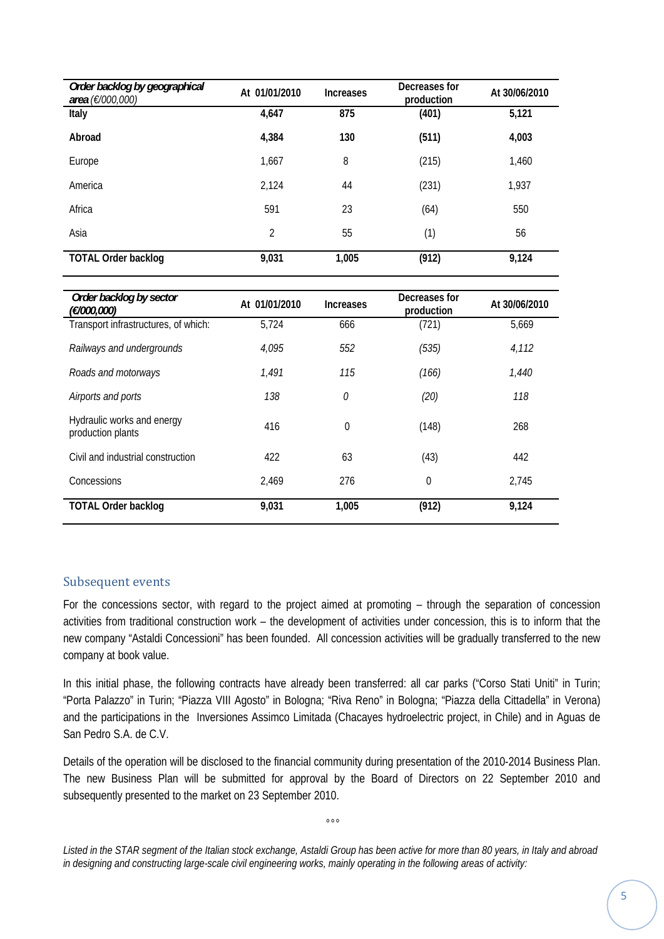| Order backlog by geographical<br>area (€/000,000) | At 01/01/2010  | <b>Increases</b> | Decreases for<br>production | At 30/06/2010 |
|---------------------------------------------------|----------------|------------------|-----------------------------|---------------|
| Italy                                             | 4,647          | 875              | (401)                       | 5,121         |
| Abroad                                            | 4,384          | 130              | (511)                       | 4,003         |
| Europe                                            | 1,667          | 8                | (215)                       | 1,460         |
| America                                           | 2,124          | 44               | (231)                       | 1,937         |
| Africa                                            | 591            | 23               | (64)                        | 550           |
| Asia                                              | $\overline{2}$ | 55               | (1)                         | 56            |
| <b>TOTAL Order backlog</b>                        | 9,031          | 1,005            | (912)                       | 9,124         |

| Order backlog by sector<br>(€/000,000)          | At 01/01/2010 | <b>Increases</b> | Decreases for<br>production | At 30/06/2010 |
|-------------------------------------------------|---------------|------------------|-----------------------------|---------------|
| Transport infrastructures, of which:            | 5,724         | 666              | (721)                       | 5,669         |
| Railways and undergrounds                       | 4,095         | 552              | (535)                       | 4,112         |
| Roads and motorways                             | 1,491         | 115              | (166)                       | 1,440         |
| Airports and ports                              | 138           | 0                | (20)                        | 118           |
| Hydraulic works and energy<br>production plants | 416           | $\mathbf 0$      | (148)                       | 268           |
| Civil and industrial construction               | 422           | 63               | (43)                        | 442           |
| Concessions                                     | 2.469         | 276              | $\theta$                    | 2,745         |
| <b>TOTAL Order backlog</b>                      | 9,031         | 1,005            | (912)                       | 9,124         |

#### Subsequent events

For the concessions sector, with regard to the project aimed at promoting – through the separation of concession activities from traditional construction work – the development of activities under concession, this is to inform that the new company "Astaldi Concessioni" has been founded. All concession activities will be gradually transferred to the new company at book value.

In this initial phase, the following contracts have already been transferred: all car parks ("Corso Stati Uniti" in Turin; "Porta Palazzo" in Turin; "Piazza VIII Agosto" in Bologna; "Riva Reno" in Bologna; "Piazza della Cittadella" in Verona) and the participations in the Inversiones Assimco Limitada (Chacayes hydroelectric project, in Chile) and in Aguas de San Pedro S.A. de C.V.

Details of the operation will be disclosed to the financial community during presentation of the 2010-2014 Business Plan. The new Business Plan will be submitted for approval by the Board of Directors on 22 September 2010 and subsequently presented to the market on 23 September 2010.

*Listed in the STAR segment of the Italian stock exchange, Astaldi Group has been active for more than 80 years, in Italy and abroad in designing and constructing large-scale civil engineering works, mainly operating in the following areas of activity:*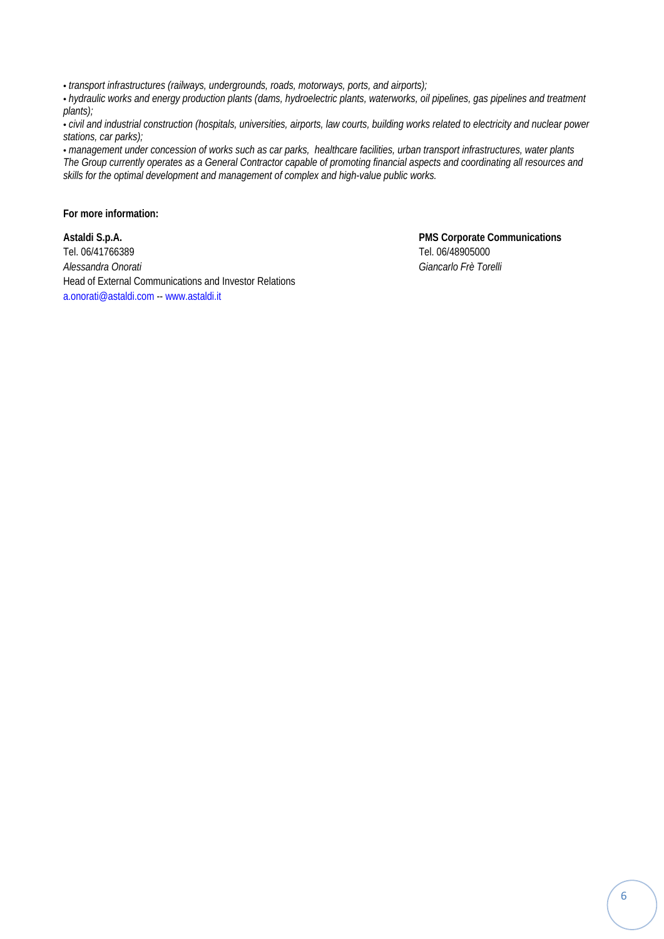• *transport infrastructures (railways, undergrounds, roads, motorways, ports, and airports);* 

• *hydraulic works and energy production plants (dams, hydroelectric plants, waterworks, oil pipelines, gas pipelines and treatment plants);* 

• *civil and industrial construction (hospitals, universities, airports, law courts, building works related to electricity and nuclear power stations, car parks);* 

• *management under concession of works such as car parks, healthcare facilities, urban transport infrastructures, water plants The Group currently operates as a General Contractor capable of promoting financial aspects and coordinating all resources and skills for the optimal development and management of complex and high-value public works.* 

**For more information:** 

**Astaldi S.p.A. PMS Corporate Communications**  Tel. 06/41766389 Tel. 06/48905000 *Alessandra Onorati Giancarlo Frè Torelli*  Head of External Communications and Investor Relations a.onorati@astaldi.com -- www.astaldi.it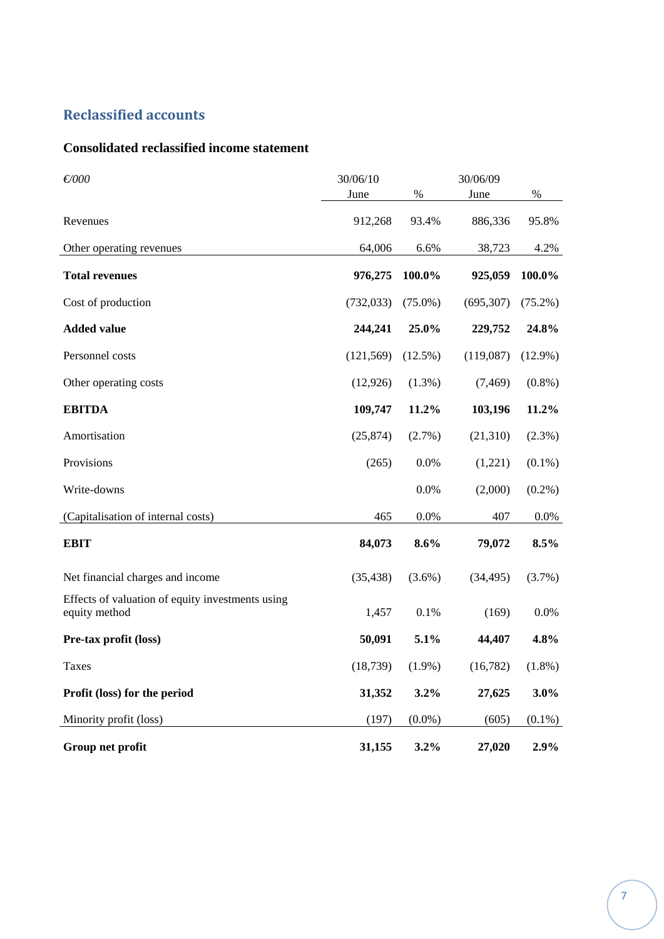# **Reclassified accounts**

### **Consolidated reclassified income statement**

| $\not\in 000$                                                     | 30/06/10   |            | 30/06/09   |            |
|-------------------------------------------------------------------|------------|------------|------------|------------|
|                                                                   | June       | $\%$       | June       | $\%$       |
| Revenues                                                          | 912,268    | 93.4%      | 886,336    | 95.8%      |
| Other operating revenues                                          | 64,006     | 6.6%       | 38,723     | 4.2%       |
| <b>Total revenues</b>                                             | 976,275    | 100.0%     | 925,059    | 100.0%     |
| Cost of production                                                | (732, 033) | $(75.0\%)$ | (695, 307) | $(75.2\%)$ |
| <b>Added value</b>                                                | 244,241    | 25.0%      | 229,752    | 24.8%      |
| Personnel costs                                                   | (121, 569) | $(12.5\%)$ | (119,087)  | $(12.9\%)$ |
| Other operating costs                                             | (12, 926)  | $(1.3\%)$  | (7, 469)   | $(0.8\%)$  |
| <b>EBITDA</b>                                                     | 109,747    | 11.2%      | 103,196    | 11.2%      |
| Amortisation                                                      | (25, 874)  | $(2.7\%)$  | (21,310)   | (2.3%)     |
| Provisions                                                        | (265)      | 0.0%       | (1,221)    | $(0.1\%)$  |
| Write-downs                                                       |            | 0.0%       | (2,000)    | $(0.2\%)$  |
| (Capitalisation of internal costs)                                | 465        | 0.0%       | 407        | $0.0\%$    |
| <b>EBIT</b>                                                       | 84,073     | 8.6%       | 79,072     | 8.5%       |
| Net financial charges and income                                  | (35, 438)  | $(3.6\%)$  | (34, 495)  | (3.7%)     |
| Effects of valuation of equity investments using<br>equity method | 1,457      | 0.1%       | (169)      | 0.0%       |
| Pre-tax profit (loss)                                             | 50,091     | 5.1%       | 44,407     | 4.8%       |
| Taxes                                                             | (18, 739)  | $(1.9\%)$  | (16, 782)  | $(1.8\%)$  |
| Profit (loss) for the period                                      | 31,352     | 3.2%       | 27,625     | 3.0%       |
| Minority profit (loss)                                            | (197)      | $(0.0\%)$  | (605)      | $(0.1\%)$  |
| Group net profit                                                  | 31,155     | 3.2%       | 27,020     | 2.9%       |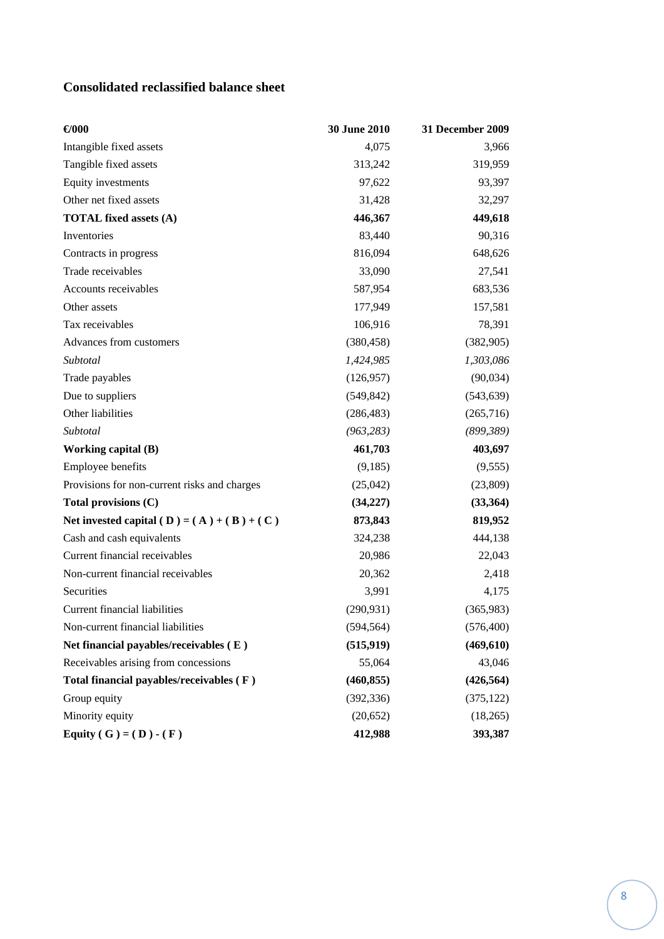# **Consolidated reclassified balance sheet**

| $\bigoplus$ 000                              | 30 June 2010 | 31 December 2009 |
|----------------------------------------------|--------------|------------------|
| Intangible fixed assets                      | 4,075        | 3,966            |
| Tangible fixed assets                        | 313,242      | 319,959          |
| Equity investments                           | 97,622       | 93,397           |
| Other net fixed assets                       | 31,428       | 32,297           |
| <b>TOTAL fixed assets (A)</b>                | 446,367      | 449,618          |
| Inventories                                  | 83,440       | 90,316           |
| Contracts in progress                        | 816,094      | 648,626          |
| Trade receivables                            | 33,090       | 27,541           |
| Accounts receivables                         | 587,954      | 683,536          |
| Other assets                                 | 177,949      | 157,581          |
| Tax receivables                              | 106,916      | 78,391           |
| Advances from customers                      | (380, 458)   | (382, 905)       |
| Subtotal                                     | 1,424,985    | 1,303,086        |
| Trade payables                               | (126, 957)   | (90,034)         |
| Due to suppliers                             | (549, 842)   | (543, 639)       |
| Other liabilities                            | (286, 483)   | (265,716)        |
| Subtotal                                     | (963, 283)   | (899, 389)       |
| Working capital (B)                          | 461,703      | 403,697          |
| Employee benefits                            | (9,185)      | (9, 555)         |
| Provisions for non-current risks and charges | (25,042)     | (23,809)         |
| Total provisions (C)                         | (34, 227)    | (33,364)         |
| Net invested capital (D) = $(A) + (B) + (C)$ | 873,843      | 819,952          |
| Cash and cash equivalents                    | 324,238      | 444,138          |
| Current financial receivables                | 20,986       | 22,043           |
| Non-current financial receivables            | 20,362       | 2,418            |
| Securities                                   | 3,991        | 4,175            |
| <b>Current financial liabilities</b>         | (290, 931)   | (365,983)        |
| Non-current financial liabilities            | (594, 564)   | (576, 400)       |
| Net financial payables/receivables (E)       | (515, 919)   | (469, 610)       |
| Receivables arising from concessions         | 55,064       | 43,046           |
| Total financial payables/receivables (F)     | (460, 855)   | (426, 564)       |
| Group equity                                 | (392, 336)   | (375, 122)       |
| Minority equity                              | (20, 652)    | (18,265)         |
| Equity ( G ) = ( D ) - ( F )                 | 412,988      | 393,387          |